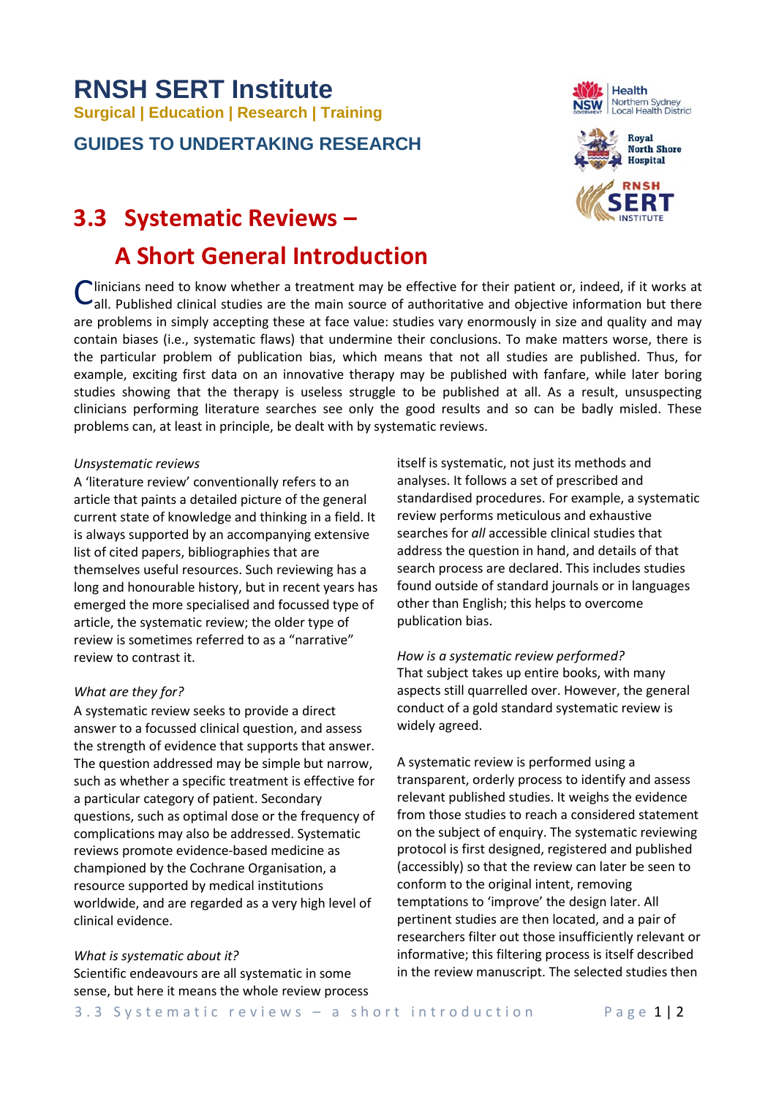# **RNSH SERT Institute Surgical | Education | Research | Training**

**GUIDES TO UNDERTAKING RESEARCH**

# **3.3 Systematic Reviews –**

# **A Short General Introduction**

Clinicians need to know whether a treatment may be effective for their patient or, indeed, if it works at all. Published clinical studies are the main source of authoritative and objective information but there all. Published clinical studies are the main source of authoritative and objective information but there are problems in simply accepting these at face value: studies vary enormously in size and quality and may contain biases (i.e., systematic flaws) that undermine their conclusions. To make matters worse, there is the particular problem of publication bias, which means that not all studies are published. Thus, for example, exciting first data on an innovative therapy may be published with fanfare, while later boring studies showing that the therapy is useless struggle to be published at all. As a result, unsuspecting clinicians performing literature searches see only the good results and so can be badly misled. These problems can, at least in principle, be dealt with by systematic reviews.

### *Unsystematic reviews*

A 'literature review' conventionally refers to an article that paints a detailed picture of the general current state of knowledge and thinking in a field. It is always supported by an accompanying extensive list of cited papers, bibliographies that are themselves useful resources. Such reviewing has a long and honourable history, but in recent years has emerged the more specialised and focussed type of article, the systematic review; the older type of review is sometimes referred to as a "narrative" review to contrast it.

# *What are they for?*

A systematic review seeks to provide a direct answer to a focussed clinical question, and assess the strength of evidence that supports that answer. The question addressed may be simple but narrow, such as whether a specific treatment is effective for a particular category of patient. Secondary questions, such as optimal dose or the frequency of complications may also be addressed. Systematic reviews promote evidence-based medicine as championed by the Cochrane Organisation, a resource supported by medical institutions worldwide, and are regarded as a very high level of clinical evidence.

#### *What is systematic about it?*

Scientific endeavours are all systematic in some sense, but here it means the whole review process itself is systematic, not just its methods and analyses. It follows a set of prescribed and standardised procedures. For example, a systematic review performs meticulous and exhaustive searches for *all* accessible clinical studies that address the question in hand, and details of that search process are declared. This includes studies found outside of standard journals or in languages other than English; this helps to overcome publication bias.

*How is a systematic review performed?* That subject takes up entire books, with many aspects still quarrelled over. However, the general conduct of a gold standard systematic review is widely agreed.

A systematic review is performed using a transparent, orderly process to identify and assess relevant published studies. It weighs the evidence from those studies to reach a considered statement on the subject of enquiry. The systematic reviewing protocol is first designed, registered and published (accessibly) so that the review can later be seen to conform to the original intent, removing temptations to 'improve' the design later. All pertinent studies are then located, and a pair of researchers filter out those insufficiently relevant or informative; this filtering process is itself described in the review manuscript. The selected studies then